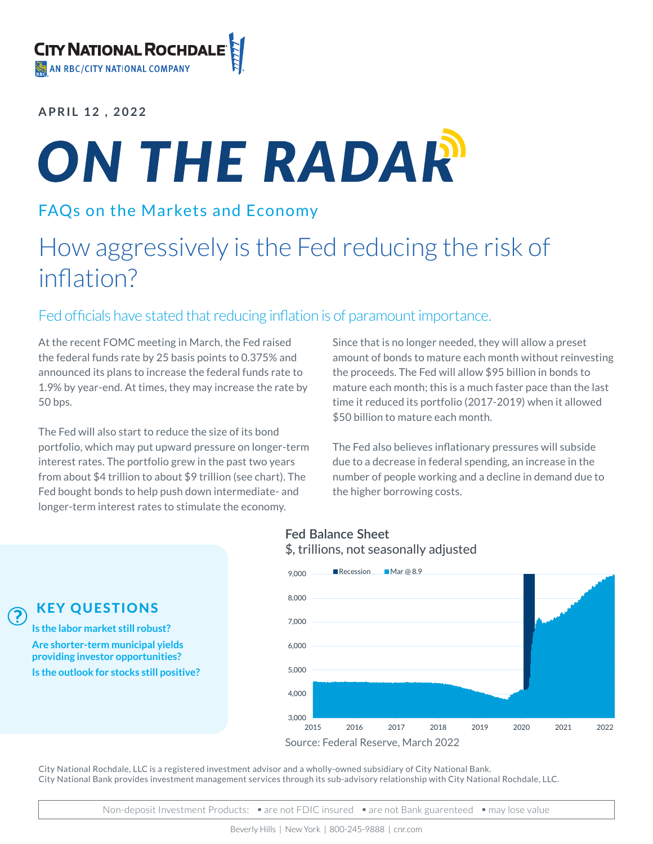**APRIL 12 , 2022**

# ON THE RADAR

## FAQs on the Markets and Economy

# How aggressively is the Fed reducing the risk of inflation?

## Fed officials have stated that reducing inflation is of paramount importance.

At the recent FOMC meeting in March, the Fed raised the federal funds rate by 25 basis points to 0.375% and announced its plans to increase the federal funds rate to 1.9% by year-end. At times, they may increase the rate by 50 bps.

The Fed will also start to reduce the size of its bond portfolio, which may put upward pressure on longer-term interest rates. The portfolio grew in the past two years from about \$4 trillion to about \$9 trillion (see chart). The Fed bought bonds to help push down intermediate- and longer-term interest rates to stimulate the economy.

Since that is no longer needed, they will allow a preset amount of bonds to mature each month without reinvesting the proceeds. The Fed will allow \$95 billion in bonds to mature each month; this is a much faster pace than the last time it reduced its portfolio (2017-2019) when it allowed \$50 billion to mature each month.

The Fed also believes inflationary pressures will subside due to a decrease in federal spending, an increase in the number of people working and a decline in demand due to the higher borrowing costs.

#### **Fed Balance Sheet** \$, trillions, not seasonally adjusted



KEY QUESTIONS

?

**Is the labor market still robust? Are shorter-term municipal yields providing investor opportunities? Is the outlook for stocks still positive?**

City National Rochdale, LLC is a registered investment advisor and a wholly-owned subsidiary of City National Bank. City National Bank provides investment management services through its sub-advisory relationship with City National Rochdale, LLC.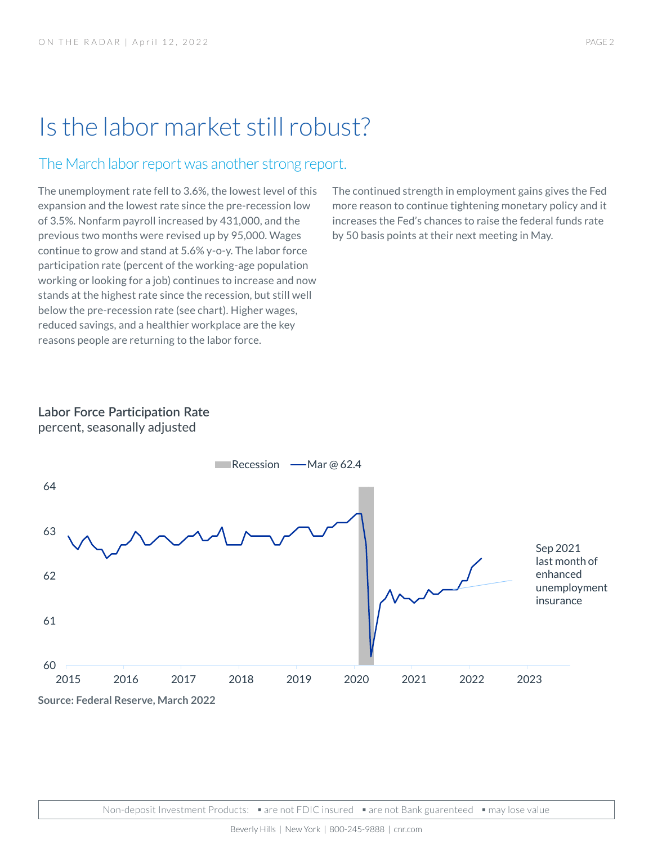# Is the labor market still robust?

### The March labor report was another strong report.

The unemployment rate fell to 3.6%, the lowest level of this expansion and the lowest rate since the pre-recession low of 3.5%. Nonfarm payroll increased by 431,000, and the previous two months were revised up by 95,000. Wages continue to grow and stand at 5.6% y-o-y. The labor force participation rate (percent of the working-age population working or looking for a job) continues to increase and now stands at the highest rate since the recession, but still well below the pre-recession rate (see chart). Higher wages, reduced savings, and a healthier workplace are the key reasons people are returning to the labor force.

The continued strength in employment gains gives the Fed more reason to continue tightening monetary policy and it increases the Fed's chances to raise the federal funds rate by 50 basis points at their next meeting in May.

## **Labor Force Participation Rate**

percent, seasonally adjusted

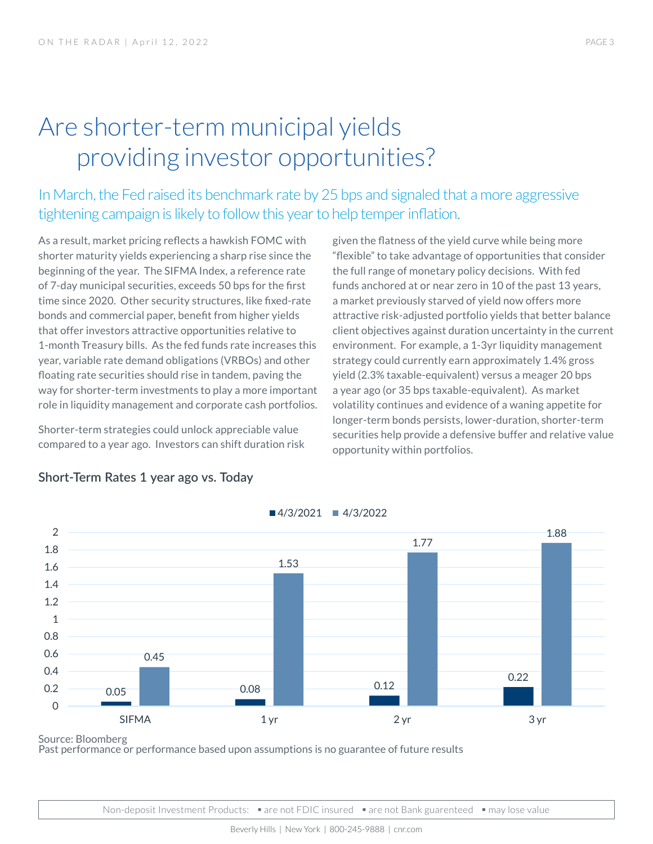# Are shorter-term municipal yields providing investor opportunities?

In March, the Fed raised its benchmark rate by 25 bps and signaled that a more aggressive tightening campaign is likely to follow this year to help temper inflation.

As a result, market pricing reflects a hawkish FOMC with shorter maturity yields experiencing a sharp rise since the beginning of the year. The SIFMA Index, a reference rate of 7-day municipal securities, exceeds 50 bps for the first time since 2020. Other security structures, like fixed-rate bonds and commercial paper, benefit from higher yields that offer investors attractive opportunities relative to 1-month Treasury bills. As the fed funds rate increases this year, variable rate demand obligations (VRBOs) and other floating rate securities should rise in tandem, paving the way for shorter-term investments to play a more important role in liquidity management and corporate cash portfolios.

Shorter-term strategies could unlock appreciable value compared to a year ago. Investors can shift duration risk

given the flatness of the yield curve while being more "flexible" to take advantage of opportunities that consider the full range of monetary policy decisions. With fed funds anchored at or near zero in 10 of the past 13 years, a market previously starved of yield now offers more attractive risk-adjusted portfolio yields that better balance client objectives against duration uncertainty in the current environment. For example, a 1-3yr liquidity management strategy could currently earn approximately 1.4% gross yield (2.3% taxable-equivalent) versus a meager 20 bps a year ago (or 35 bps taxable-equivalent). As market volatility continues and evidence of a waning appetite for longer-term bonds persists, lower-duration, shorter-term securities help provide a defensive buffer and relative value opportunity within portfolios.



#### **Short-Term Rates 1 year ago vs. Today**

Source: Bloomberg

Past performance or performance based upon assumptions is no guarantee of future results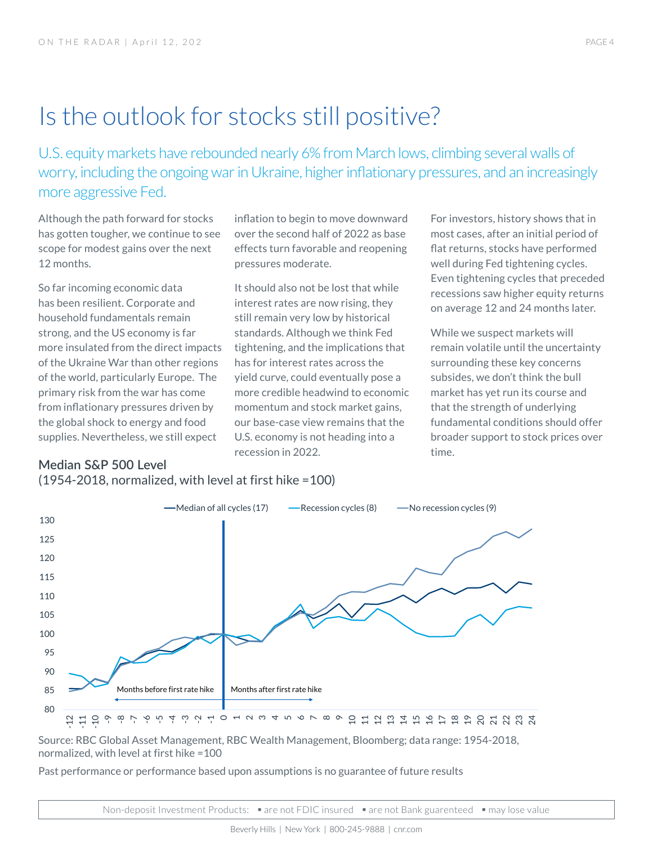# Is the outlook for stocks still positive?

U.S. equity markets have rebounded nearly 6% from March lows, climbing several walls of worry, including the ongoing war in Ukraine, higher inflationary pressures, and an increasingly more aggressive Fed.

Although the path forward for stocks has gotten tougher, we continue to see scope for modest gains over the next 12 months.

So far incoming economic data has been resilient. Corporate and household fundamentals remain strong, and the US economy is far more insulated from the direct impacts of the Ukraine War than other regions of the world, particularly Europe. The primary risk from the war has come from inflationary pressures driven by the global shock to energy and food supplies. Nevertheless, we still expect

inflation to begin to move downward over the second half of 2022 as base effects turn favorable and reopening pressures moderate.

It should also not be lost that while interest rates are now rising, they still remain very low by historical standards. Although we think Fed tightening, and the implications that has for interest rates across the yield curve, could eventually pose a more credible headwind to economic momentum and stock market gains, our base-case view remains that the U.S. economy is not heading into a recession in 2022.

For investors, history shows that in most cases, after an initial period of flat returns, stocks have performed well during Fed tightening cycles. Even tightening cycles that preceded recessions saw higher equity returns on average 12 and 24 months later.

While we suspect markets will remain volatile until the uncertainty surrounding these key concerns subsides, we don't think the bull market has yet run its course and that the strength of underlying fundamental conditions should offer broader support to stock prices over time.

## **Median S&P 500 Level**





Source: RBC Global Asset Management, RBC Wealth Management, Bloomberg; data range: 1954-2018, normalized, with level at first hike =100

Past performance or performance based upon assumptions is no guarantee of future results